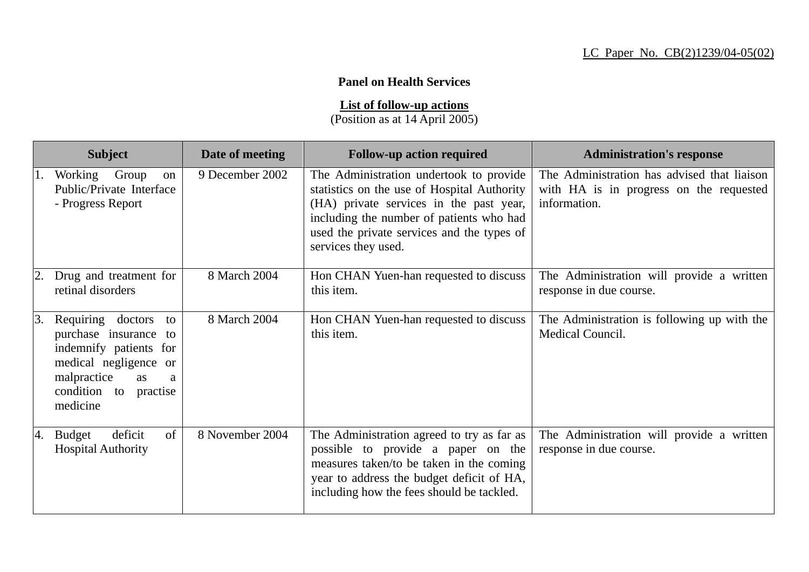## **Panel on Health Services**

**List of follow-up actions**

(Position as at 14 April 2005)

|    | <b>Subject</b>                                                                                                                                                            | Date of meeting | <b>Follow-up action required</b>                                                                                                                                                                                                                   | <b>Administration's response</b>                                                                       |
|----|---------------------------------------------------------------------------------------------------------------------------------------------------------------------------|-----------------|----------------------------------------------------------------------------------------------------------------------------------------------------------------------------------------------------------------------------------------------------|--------------------------------------------------------------------------------------------------------|
| 1. | Working Group<br>on<br>Public/Private Interface<br>- Progress Report                                                                                                      | 9 December 2002 | The Administration undertook to provide<br>statistics on the use of Hospital Authority<br>(HA) private services in the past year,<br>including the number of patients who had<br>used the private services and the types of<br>services they used. | The Administration has advised that liaison<br>with HA is in progress on the requested<br>information. |
|    | Drug and treatment for<br>retinal disorders                                                                                                                               | 8 March 2004    | Hon CHAN Yuen-han requested to discuss<br>this item.                                                                                                                                                                                               | The Administration will provide a written<br>response in due course.                                   |
| 3. | Requiring doctors<br>to<br>purchase insurance to<br>indemnify patients for<br>medical negligence or<br>malpractice<br><b>as</b><br>a<br>condition to practise<br>medicine | 8 March 2004    | Hon CHAN Yuen-han requested to discuss<br>this item.                                                                                                                                                                                               | The Administration is following up with the<br>Medical Council.                                        |
| 4. | of<br>deficit<br><b>Budget</b><br><b>Hospital Authority</b>                                                                                                               | 8 November 2004 | The Administration agreed to try as far as<br>possible to provide a paper on the<br>measures taken/to be taken in the coming<br>year to address the budget deficit of HA,<br>including how the fees should be tackled.                             | The Administration will provide a written<br>response in due course.                                   |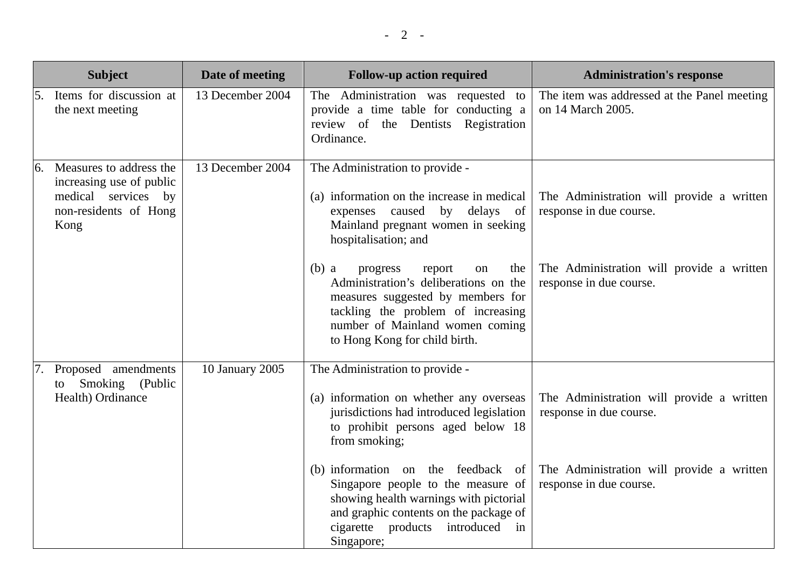|    | <b>Subject</b>                                                                                              | Date of meeting  | <b>Follow-up action required</b>                                                                                                                                                                                                   | <b>Administration's response</b>                                     |
|----|-------------------------------------------------------------------------------------------------------------|------------------|------------------------------------------------------------------------------------------------------------------------------------------------------------------------------------------------------------------------------------|----------------------------------------------------------------------|
| 5. | Items for discussion at<br>the next meeting                                                                 | 13 December 2004 | The Administration was requested to<br>provide a time table for conducting a<br>review of the Dentists Registration<br>Ordinance.                                                                                                  | The item was addressed at the Panel meeting<br>on 14 March 2005.     |
|    | Measures to address the<br>increasing use of public<br>medical services by<br>non-residents of Hong<br>Kong | 13 December 2004 | The Administration to provide -<br>(a) information on the increase in medical<br>caused<br>by delays of<br>expenses<br>Mainland pregnant women in seeking<br>hospitalisation; and                                                  | The Administration will provide a written<br>response in due course. |
|    |                                                                                                             |                  | progress<br>$(b)$ a<br>report<br>the<br>on<br>Administration's deliberations on the<br>measures suggested by members for<br>tackling the problem of increasing<br>number of Mainland women coming<br>to Hong Kong for child birth. | The Administration will provide a written<br>response in due course. |
|    | Proposed amendments<br>Smoking (Public<br>to<br>Health) Ordinance                                           | 10 January 2005  | The Administration to provide -<br>(a) information on whether any overseas<br>jurisdictions had introduced legislation<br>to prohibit persons aged below 18<br>from smoking;                                                       | The Administration will provide a written<br>response in due course. |
|    |                                                                                                             |                  | (b) information on the feedback<br><sub>of</sub><br>Singapore people to the measure of<br>showing health warnings with pictorial<br>and graphic contents on the package of<br>cigarette products<br>introduced<br>in<br>Singapore; | The Administration will provide a written<br>response in due course. |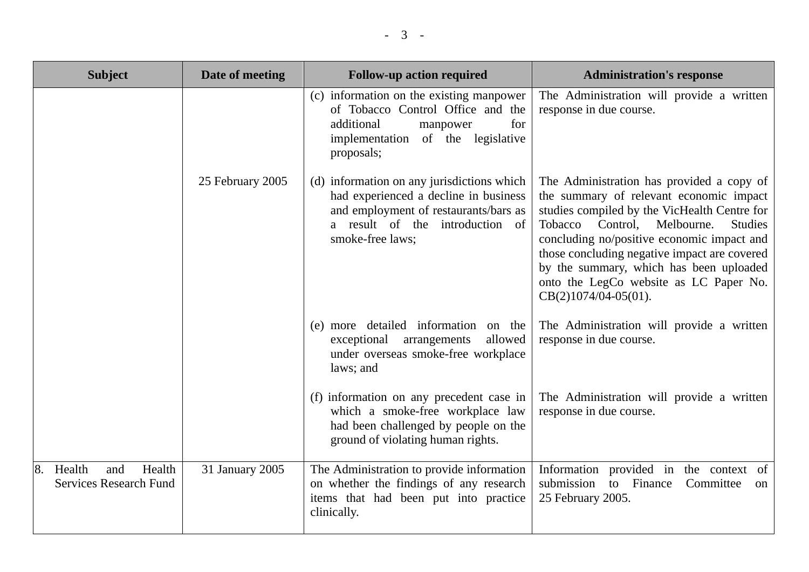| <b>Subject</b>                                                 | Date of meeting  | <b>Follow-up action required</b>                                                                                                                                                    | <b>Administration's response</b>                                                                                                                                                                                                                                                                                                                                                                          |
|----------------------------------------------------------------|------------------|-------------------------------------------------------------------------------------------------------------------------------------------------------------------------------------|-----------------------------------------------------------------------------------------------------------------------------------------------------------------------------------------------------------------------------------------------------------------------------------------------------------------------------------------------------------------------------------------------------------|
|                                                                |                  | (c) information on the existing manpower<br>of Tobacco Control Office and the<br>for<br>additional<br>manpower<br>legislative<br>implementation of the<br>proposals;                | The Administration will provide a written<br>response in due course.                                                                                                                                                                                                                                                                                                                                      |
|                                                                | 25 February 2005 | (d) information on any jurisdictions which<br>had experienced a decline in business<br>and employment of restaurants/bars as<br>a result of the introduction of<br>smoke-free laws; | The Administration has provided a copy of<br>the summary of relevant economic impact<br>studies compiled by the VicHealth Centre for<br>Control.<br>Melbourne.<br><b>Studies</b><br>Tobacco<br>concluding no/positive economic impact and<br>those concluding negative impact are covered<br>by the summary, which has been uploaded<br>onto the LegCo website as LC Paper No.<br>$CB(2)1074/04-05(01)$ . |
|                                                                |                  | (e) more detailed information<br>on the<br>allowed<br>arrangements<br>exceptional<br>under overseas smoke-free workplace<br>laws; and                                               | The Administration will provide a written<br>response in due course.                                                                                                                                                                                                                                                                                                                                      |
|                                                                |                  | (f) information on any precedent case in<br>which a smoke-free workplace law<br>had been challenged by people on the<br>ground of violating human rights.                           | The Administration will provide a written<br>response in due course.                                                                                                                                                                                                                                                                                                                                      |
| Health<br>Health<br>and<br>8.<br><b>Services Research Fund</b> | 31 January 2005  | The Administration to provide information<br>on whether the findings of any research<br>items that had been put into practice<br>clinically.                                        | Information provided in the context of<br>submission<br>to Finance<br>Committee<br>on<br>25 February 2005.                                                                                                                                                                                                                                                                                                |